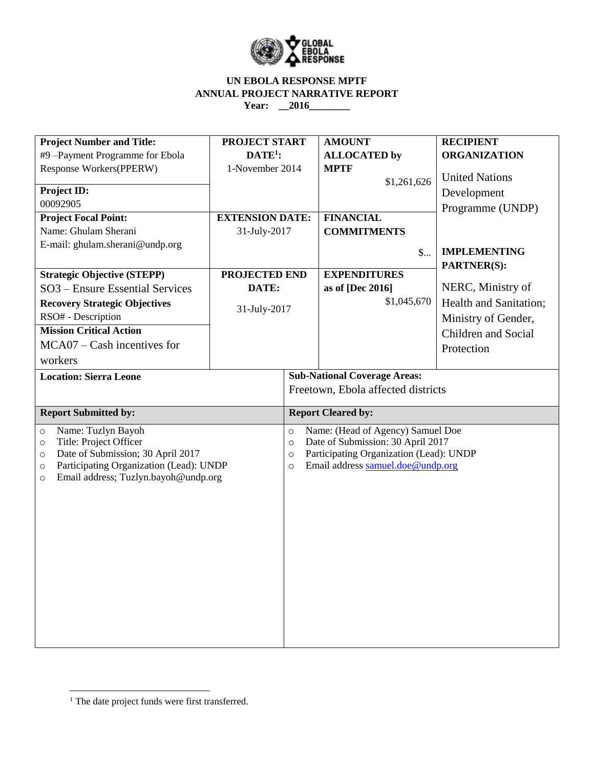

### **UN EBOLA RESPONSE MPTF ANNUAL PROJECT NARRATIVE REPORT Year: \_\_2016\_\_\_\_\_\_\_\_**

| <b>Project Number and Title:</b>                   | PROJECT START                       |                                                    | <b>AMOUNT</b>                      | <b>RECIPIENT</b>           |  |  |
|----------------------------------------------------|-------------------------------------|----------------------------------------------------|------------------------------------|----------------------------|--|--|
| #9-Payment Programme for Ebola                     | $DATE1$ :                           |                                                    | <b>ALLOCATED</b> by                | <b>ORGANIZATION</b>        |  |  |
| Response Workers(PPERW)                            | 1-November 2014                     |                                                    | <b>MPTF</b>                        |                            |  |  |
|                                                    |                                     |                                                    | \$1,261,626                        | <b>United Nations</b>      |  |  |
| <b>Project ID:</b>                                 |                                     |                                                    |                                    | Development                |  |  |
| 00092905                                           |                                     |                                                    |                                    | Programme (UNDP)           |  |  |
| <b>Project Focal Point:</b>                        | <b>EXTENSION DATE:</b>              |                                                    | <b>FINANCIAL</b>                   |                            |  |  |
| Name: Ghulam Sherani                               | 31-July-2017                        |                                                    | <b>COMMITMENTS</b>                 |                            |  |  |
| E-mail: ghulam.sherani@undp.org                    |                                     |                                                    | $\mathsf{\$}$                      | <b>IMPLEMENTING</b>        |  |  |
|                                                    |                                     |                                                    |                                    | PARTNER(S):                |  |  |
| <b>Strategic Objective (STEPP)</b>                 | PROJECTED END                       |                                                    | <b>EXPENDITURES</b>                |                            |  |  |
| SO3 - Ensure Essential Services                    | DATE:                               |                                                    | as of [Dec 2016]                   | NERC, Ministry of          |  |  |
| <b>Recovery Strategic Objectives</b>               | 31-July-2017                        |                                                    | \$1,045,670                        | Health and Sanitation;     |  |  |
| RSO# - Description                                 |                                     |                                                    |                                    | Ministry of Gender,        |  |  |
| <b>Mission Critical Action</b>                     |                                     |                                                    |                                    | <b>Children and Social</b> |  |  |
| $MCA07 - Cash$ incentives for                      |                                     |                                                    |                                    | Protection                 |  |  |
| workers                                            |                                     |                                                    |                                    |                            |  |  |
| <b>Location: Sierra Leone</b>                      | <b>Sub-National Coverage Areas:</b> |                                                    |                                    |                            |  |  |
|                                                    |                                     |                                                    | Freetown, Ebola affected districts |                            |  |  |
|                                                    |                                     |                                                    |                                    |                            |  |  |
| <b>Report Submitted by:</b>                        |                                     |                                                    | <b>Report Cleared by:</b>          |                            |  |  |
| Name: Tuzlyn Bayoh<br>$\circ$                      |                                     | Name: (Head of Agency) Samuel Doe<br>$\circ$       |                                    |                            |  |  |
| Title: Project Officer<br>$\circ$                  |                                     | Date of Submission: 30 April 2017<br>$\circ$       |                                    |                            |  |  |
| Date of Submission; 30 April 2017<br>$\circ$       |                                     | Participating Organization (Lead): UNDP<br>$\circ$ |                                    |                            |  |  |
| Participating Organization (Lead): UNDP<br>$\circ$ |                                     | $\circ$                                            | Email address samuel.doe@undp.org  |                            |  |  |
| Email address; Tuzlyn.bayoh@undp.org<br>$\circ$    |                                     |                                                    |                                    |                            |  |  |
|                                                    |                                     |                                                    |                                    |                            |  |  |
|                                                    |                                     |                                                    |                                    |                            |  |  |
|                                                    |                                     |                                                    |                                    |                            |  |  |
|                                                    |                                     |                                                    |                                    |                            |  |  |
|                                                    |                                     |                                                    |                                    |                            |  |  |
|                                                    |                                     |                                                    |                                    |                            |  |  |
|                                                    |                                     |                                                    |                                    |                            |  |  |
|                                                    |                                     |                                                    |                                    |                            |  |  |
|                                                    |                                     |                                                    |                                    |                            |  |  |
|                                                    |                                     |                                                    |                                    |                            |  |  |
|                                                    |                                     |                                                    |                                    |                            |  |  |
|                                                    |                                     |                                                    |                                    |                            |  |  |

 $\overline{\phantom{a}}$ 

<sup>&</sup>lt;sup>1</sup> The date project funds were first transferred.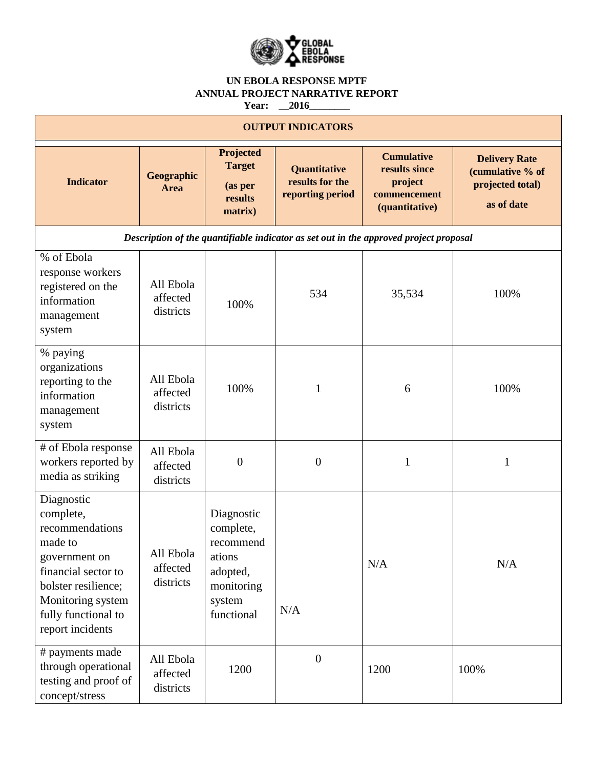

### **UN EBOLA RESPONSE MPTF ANNUAL PROJECT NARRATIVE REPORT Year: \_\_2016\_\_\_\_\_\_\_\_**

| <b>OUTPUT INDICATORS</b>                                                                                                                                                             |                                    |                                                                                                  |                                                     |                                                                                 |                                                                            |  |  |
|--------------------------------------------------------------------------------------------------------------------------------------------------------------------------------------|------------------------------------|--------------------------------------------------------------------------------------------------|-----------------------------------------------------|---------------------------------------------------------------------------------|----------------------------------------------------------------------------|--|--|
| <b>Indicator</b>                                                                                                                                                                     | Geographic<br>Area                 | Projected<br><b>Target</b><br>(as per<br>results<br>matrix)                                      | Quantitative<br>results for the<br>reporting period | <b>Cumulative</b><br>results since<br>project<br>commencement<br>(quantitative) | <b>Delivery Rate</b><br>(cumulative % of<br>projected total)<br>as of date |  |  |
| Description of the quantifiable indicator as set out in the approved project proposal                                                                                                |                                    |                                                                                                  |                                                     |                                                                                 |                                                                            |  |  |
| % of Ebola<br>response workers<br>registered on the<br>information<br>management<br>system                                                                                           | All Ebola<br>affected<br>districts | 100%                                                                                             | 534                                                 | 35,534                                                                          | 100%                                                                       |  |  |
| % paying<br>organizations<br>reporting to the<br>information<br>management<br>system                                                                                                 | All Ebola<br>affected<br>districts | 100%                                                                                             | $\mathbf{1}$                                        | 6                                                                               | 100%                                                                       |  |  |
| # of Ebola response<br>workers reported by<br>media as striking                                                                                                                      | All Ebola<br>affected<br>districts | $\overline{0}$                                                                                   | $\boldsymbol{0}$                                    | $\mathbf{1}$                                                                    | 1                                                                          |  |  |
| Diagnostic<br>complete,<br>recommendations<br>made to<br>government on<br>financial sector to<br>bolster resilience;<br>Monitoring system<br>fully functional to<br>report incidents | All Ebola<br>affected<br>districts | Diagnostic<br>complete,<br>recommend<br>ations<br>adopted,<br>monitoring<br>system<br>functional | N/A                                                 | N/A                                                                             | N/A                                                                        |  |  |
| # payments made<br>through operational<br>testing and proof of<br>concept/stress                                                                                                     | All Ebola<br>affected<br>districts | 1200                                                                                             | $\boldsymbol{0}$                                    | 1200                                                                            | 100%                                                                       |  |  |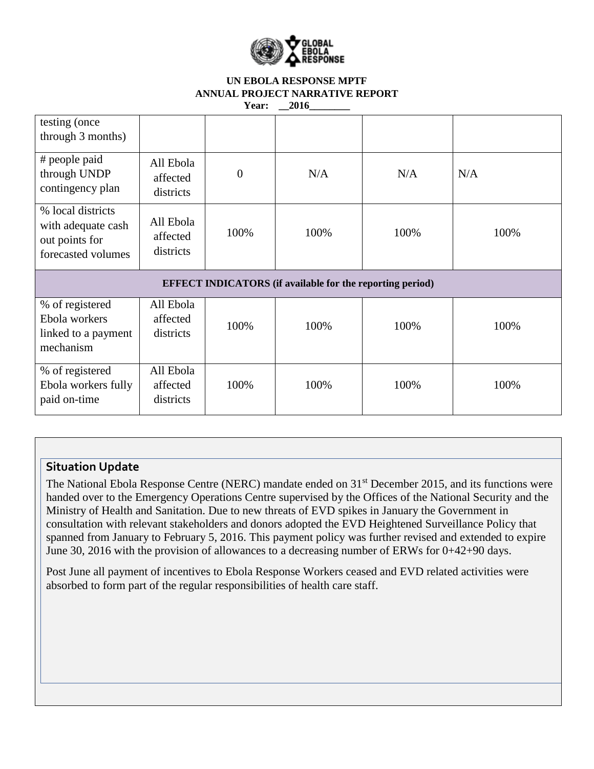

#### **UN EBOLA RESPONSE MPTF ANNUAL PROJECT NARRATIVE REPORT**  Year: \_\_2016

| testing (once<br>through 3 months)                                              |                                    |                |      |      |      |  |
|---------------------------------------------------------------------------------|------------------------------------|----------------|------|------|------|--|
| # people paid<br>through UNDP<br>contingency plan                               | All Ebola<br>affected<br>districts | $\overline{0}$ | N/A  | N/A  | N/A  |  |
| % local districts<br>with adequate cash<br>out points for<br>forecasted volumes | All Ebola<br>affected<br>districts | 100%           | 100% | 100% | 100% |  |
| <b>EFFECT INDICATORS</b> (if available for the reporting period)                |                                    |                |      |      |      |  |
| % of registered<br>Ebola workers<br>linked to a payment<br>mechanism            | All Ebola<br>affected<br>districts | 100%           | 100% | 100% | 100% |  |
| % of registered<br>Ebola workers fully<br>paid on-time                          | All Ebola<br>affected<br>districts | 100%           | 100% | 100% | 100% |  |

# **Situation Update**

The National Ebola Response Centre (NERC) mandate ended on 31<sup>st</sup> December 2015, and its functions were handed over to the Emergency Operations Centre supervised by the Offices of the National Security and the Ministry of Health and Sanitation. Due to new threats of EVD spikes in January the Government in consultation with relevant stakeholders and donors adopted the EVD Heightened Surveillance Policy that spanned from January to February 5, 2016. This payment policy was further revised and extended to expire June 30, 2016 with the provision of allowances to a decreasing number of ERWs for 0+42+90 days.

Post June all payment of incentives to Ebola Response Workers ceased and EVD related activities were absorbed to form part of the regular responsibilities of health care staff.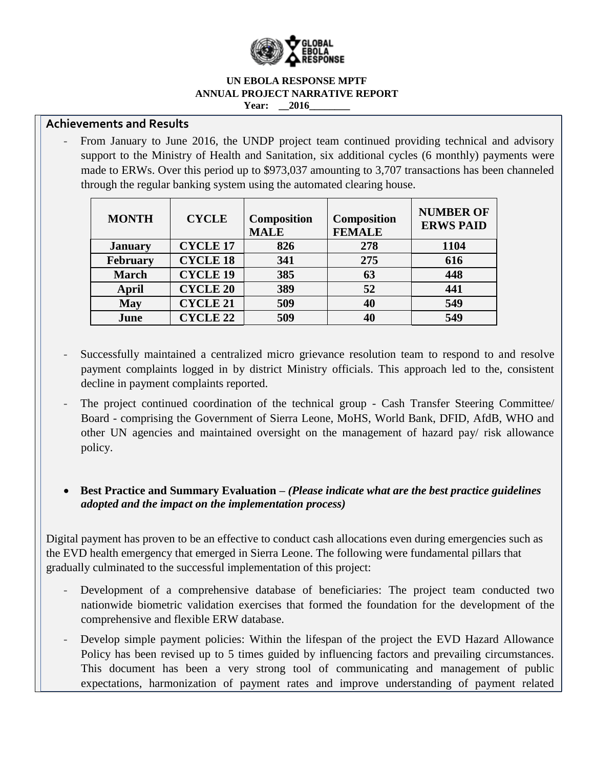

#### **UN EBOLA RESPONSE MPTF ANNUAL PROJECT NARRATIVE REPORT Year:** 2016

## **Achievements and Results**

- From January to June 2016, the UNDP project team continued providing technical and advisory support to the Ministry of Health and Sanitation, six additional cycles (6 monthly) payments were made to ERWs. Over this period up to \$973,037 amounting to 3,707 transactions has been channeled through the regular banking system using the automated clearing house.

| <b>MONTH</b>    | <b>CYCLE</b>    | <b>Composition</b><br><b>MALE</b> | <b>Composition</b><br><b>FEMALE</b> | <b>NUMBER OF</b><br><b>ERWS PAID</b> |
|-----------------|-----------------|-----------------------------------|-------------------------------------|--------------------------------------|
| <b>January</b>  | <b>CYCLE 17</b> | 826                               | 278                                 | 1104                                 |
| <b>February</b> | <b>CYCLE 18</b> | 341                               | 275                                 | 616                                  |
| <b>March</b>    | <b>CYCLE 19</b> | 385                               | 63                                  | 448                                  |
| April           | <b>CYCLE 20</b> | 389                               | 52                                  | 441                                  |
| <b>May</b>      | <b>CYCLE 21</b> | 509                               | 40                                  | 549                                  |
| June            | <b>CYCLE 22</b> | 509                               | 40                                  | 549                                  |

- Successfully maintained a centralized micro grievance resolution team to respond to and resolve payment complaints logged in by district Ministry officials. This approach led to the, consistent decline in payment complaints reported.
- The project continued coordination of the technical group Cash Transfer Steering Committee/ Board - comprising the Government of Sierra Leone, MoHS, World Bank, DFID, AfdB, WHO and other UN agencies and maintained oversight on the management of hazard pay/ risk allowance policy.

## **Best Practice and Summary Evaluation** *– (Please indicate what are the best practice guidelines adopted and the impact on the implementation process)*

Digital payment has proven to be an effective to conduct cash allocations even during emergencies such as the EVD health emergency that emerged in Sierra Leone. The following were fundamental pillars that gradually culminated to the successful implementation of this project:

- Development of a comprehensive database of beneficiaries: The project team conducted two nationwide biometric validation exercises that formed the foundation for the development of the comprehensive and flexible ERW database.
- Develop simple payment policies: Within the lifespan of the project the EVD Hazard Allowance Policy has been revised up to 5 times guided by influencing factors and prevailing circumstances. This document has been a very strong tool of communicating and management of public expectations, harmonization of payment rates and improve understanding of payment related